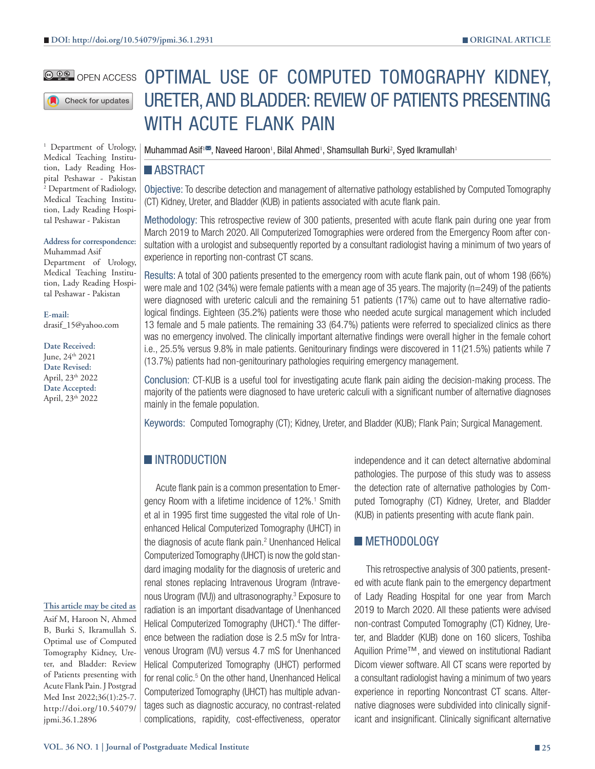#### **@ 00 OPEN ACCESS**

Check for updates

<sup>1</sup> Department of Urology, Medical Teaching Institution, Lady Reading Hospital Peshawar - Pakistan 2 Department of Radiology, Medical Teaching Institution, Lady Reading Hospital Peshawar - Pakistan

# **Address for correspondence:**

Muhammad Asif Department of Urology, Medical Teaching Institution, Lady Reading Hospital Peshawar - Pakistan

**E-mail:** drasif\_15@yahoo.com

**Date Received:**

June, 24<sup>th</sup> 2021 **Date Revised:** April, 23th 2022 **Date Accepted:** April, 23th 2022

#### **This article may be cited as**

Asif M, Haroon N, Ahmed B, Burki S, Ikramullah S. Optimal use of Computed Tomography Kidney, Ureter, and Bladder: Review of Patients presenting with Acute Flank Pain. J Postgrad Med Inst 2022;36(1):25-7. http://doi.org/10.54079/ jpmi.36.1.2896

# OPTIMAL USE OF COMPUTED TOMOGRAPHY KIDNEY, URETER, AND BLADDER: REVIEW OF PATIENTS PRESENTING WITH ACUTE FLANK PAIN

Muhammad Asif<sup>i $\blacksquare$ </sup>, Naveed Haroon<sup>1</sup>, Bilal Ahmed<sup>1</sup>, Shamsullah Burki<sup>2</sup>, Syed Ikramullah<sup>1</sup>

#### **ABSTRACT**

Objective: To describe detection and management of alternative pathology established by Computed Tomography (CT) Kidney, Ureter, and Bladder (KUB) in patients associated with acute flank pain.

Methodology: This retrospective review of 300 patients, presented with acute flank pain during one year from March 2019 to March 2020. All Computerized Tomographies were ordered from the Emergency Room after consultation with a urologist and subsequently reported by a consultant radiologist having a minimum of two years of experience in reporting non-contrast CT scans.

Results: A total of 300 patients presented to the emergency room with acute flank pain, out of whom 198 (66%) were male and 102 (34%) were female patients with a mean age of 35 years. The majority (n=249) of the patients were diagnosed with ureteric calculi and the remaining 51 patients (17%) came out to have alternative radiological findings. Eighteen (35.2%) patients were those who needed acute surgical management which included 13 female and 5 male patients. The remaining 33 (64.7%) patients were referred to specialized clinics as there was no emergency involved. The clinically important alternative findings were overall higher in the female cohort i.e., 25.5% versus 9.8% in male patients. Genitourinary findings were discovered in 11(21.5%) patients while 7 (13.7%) patients had non-genitourinary pathologies requiring emergency management.

Conclusion: CT-KUB is a useful tool for investigating acute flank pain aiding the decision-making process. The majority of the patients were diagnosed to have ureteric calculi with a significant number of alternative diagnoses mainly in the female population.

Keywords: Computed Tomography (CT); Kidney, Ureter, and Bladder (KUB); Flank Pain; Surgical Management.

# **INTRODUCTION**

Acute flank pain is a common presentation to Emergency Room with a lifetime incidence of 12%.<sup>1</sup> Smith et al in 1995 first time suggested the vital role of Unenhanced Helical Computerized Tomography (UHCT) in the diagnosis of acute flank pain.<sup>2</sup> Unenhanced Helical Computerized Tomography (UHCT) is now the gold standard imaging modality for the diagnosis of ureteric and renal stones replacing Intravenous Urogram (Intravenous Urogram (IVU)) and ultrasonography.3 Exposure to radiation is an important disadvantage of Unenhanced Helical Computerized Tomography (UHCT).<sup>4</sup> The difference between the radiation dose is 2.5 mSv for Intravenous Urogram (IVU) versus 4.7 mS for Unenhanced Helical Computerized Tomography (UHCT) performed for renal colic.<sup>5</sup> On the other hand, Unenhanced Helical Computerized Tomography (UHCT) has multiple advantages such as diagnostic accuracy, no contrast-related complications, rapidity, cost-effectiveness, operator

independence and it can detect alternative abdominal pathologies. The purpose of this study was to assess the detection rate of alternative pathologies by Computed Tomography (CT) Kidney, Ureter, and Bladder (KUB) in patients presenting with acute flank pain.

## **METHODOLOGY**

This retrospective analysis of 300 patients, presented with acute flank pain to the emergency department of Lady Reading Hospital for one year from March 2019 to March 2020. All these patients were advised non-contrast Computed Tomography (CT) Kidney, Ureter, and Bladder (KUB) done on 160 slicers, Toshiba Aquilion Prime™, and viewed on institutional Radiant Dicom viewer software. All CT scans were reported by a consultant radiologist having a minimum of two years experience in reporting Noncontrast CT scans. Alternative diagnoses were subdivided into clinically significant and insignificant. Clinically significant alternative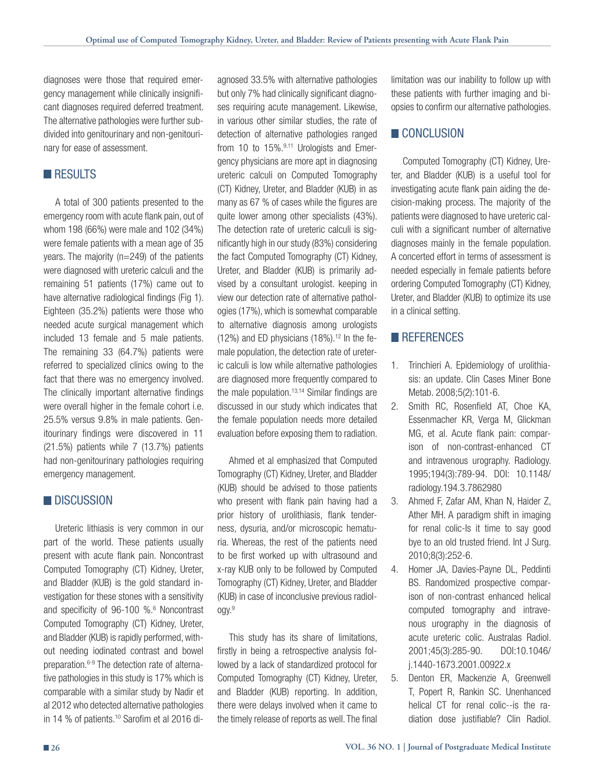diagnoses were those that required emergency management while clinically insignificant diagnoses required deferred treatment. The alternative pathologies were further subdivided into genitourinary and non-genitourinary for ease of assessment.

## **RESULTS**

A total of 300 patients presented to the emergency room with acute flank pain, out of whom 198 (66%) were male and 102 (34%) were female patients with a mean age of 35 years. The majority (n=249) of the patients were diagnosed with ureteric calculi and the remaining 51 patients (17%) came out to have alternative radiological findings (Fig 1). Eighteen (35.2%) patients were those who needed acute surgical management which included 13 female and 5 male patients. The remaining 33 (64.7%) patients were referred to specialized clinics owing to the fact that there was no emergency involved. The clinically important alternative findings were overall higher in the female cohort i.e. 25.5% versus 9.8% in male patients. Genitourinary findings were discovered in 11 (21.5%) patients while 7 (13.7%) patients had non-genitourinary pathologies requiring emergency management.

#### **DISCUSSION**

Ureteric lithiasis is very common in our part of the world. These patients usually present with acute flank pain. Noncontrast Computed Tomography (CT) Kidney, Ureter, and Bladder (KUB) is the gold standard investigation for these stones with a sensitivity and specificity of 96-100 %.<sup>6</sup> Noncontrast Computed Tomography (CT) Kidney, Ureter, and Bladder (KUB) is rapidly performed, without needing iodinated contrast and bowel preparation.6-9 The detection rate of alternative pathologies in this study is 17% which is comparable with a similar study by Nadir et al 2012 who detected alternative pathologies in 14 % of patients.<sup>10</sup> Sarofim et al 2016 diagnosed 33.5% with alternative pathologies but only 7% had clinically significant diagnoses requiring acute management. Likewise, in various other similar studies, the rate of detection of alternative pathologies ranged from 10 to 15%.<sup>9,11</sup> Urologists and Emergency physicians are more apt in diagnosing ureteric calculi on Computed Tomography (CT) Kidney, Ureter, and Bladder (KUB) in as many as 67 % of cases while the figures are quite lower among other specialists (43%). The detection rate of ureteric calculi is significantly high in our study (83%) considering the fact Computed Tomography (CT) Kidney, Ureter, and Bladder (KUB) is primarily advised by a consultant urologist. keeping in view our detection rate of alternative pathologies (17%), which is somewhat comparable to alternative diagnosis among urologists  $(12%)$  and ED physicians  $(18%)$ .<sup>12</sup> In the female population, the detection rate of ureteric calculi is low while alternative pathologies are diagnosed more frequently compared to the male population.13,14 Similar findings are discussed in our study which indicates that the female population needs more detailed evaluation before exposing them to radiation.

Ahmed et al emphasized that Computed Tomography (CT) Kidney, Ureter, and Bladder (KUB) should be advised to those patients who present with flank pain having had a prior history of urolithiasis, flank tenderness, dysuria, and/or microscopic hematuria. Whereas, the rest of the patients need to be first worked up with ultrasound and x-ray KUB only to be followed by Computed Tomography (CT) Kidney, Ureter, and Bladder (KUB) in case of inconclusive previous radiology.9

This study has its share of limitations, firstly in being a retrospective analysis followed by a lack of standardized protocol for Computed Tomography (CT) Kidney, Ureter, and Bladder (KUB) reporting. In addition, there were delays involved when it came to the timely release of reports as well. The final limitation was our inability to follow up with these patients with further imaging and biopsies to confirm our alternative pathologies.

#### **CONCLUSION**

Computed Tomography (CT) Kidney, Ureter, and Bladder (KUB) is a useful tool for investigating acute flank pain aiding the decision-making process. The majority of the patients were diagnosed to have ureteric calculi with a significant number of alternative diagnoses mainly in the female population. A concerted effort in terms of assessment is needed especially in female patients before ordering Computed Tomography (CT) Kidney, Ureter, and Bladder (KUB) to optimize its use in a clinical setting.

## **REFERENCES**

- 1. Trinchieri A. Epidemiology of urolithiasis: an update. Clin Cases Miner Bone Metab. 2008;5(2):101-6.
- 2. Smith RC, Rosenfield AT, Choe KA, Essenmacher KR, Verga M, Glickman MG, et al. Acute flank pain: comparison of non-contrast-enhanced CT and intravenous urography. Radiology. 1995;194(3):789-94. DOI: 10.1148/ radiology.194.3.7862980
- 3. Ahmed F, Zafar AM, Khan N, Haider Z, Ather MH. A paradigm shift in imaging for renal colic-Is it time to say good bye to an old trusted friend. Int J Surg. 2010;8(3):252-6.
- 4. Homer JA, Davies-Payne DL, Peddinti BS. Randomized prospective comparison of non-contrast enhanced helical computed tomography and intravenous urography in the diagnosis of acute ureteric colic. Australas Radiol. 2001;45(3):285-90. DOI:10.1046/ j.1440-1673.2001.00922.x
- 5. Denton ER, Mackenzie A, Greenwell T, Popert R, Rankin SC. Unenhanced helical CT for renal colic--is the radiation dose justifiable? Clin Radiol.